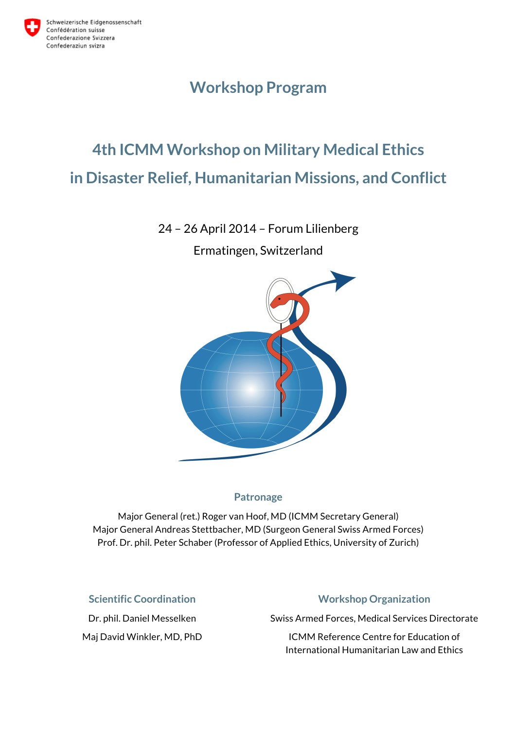

## **Workshop Program**

# **4th ICMM Workshop on Military Medical Ethics in Disaster Relief, Humanitarian Missions, and Conflict**

24 – 26 April 2014 – Forum Lilienberg

Ermatingen, Switzerland



## **Patronage**

Major General (ret.) Roger van Hoof, MD (ICMM Secretary General) Major General Andreas Stettbacher, MD (Surgeon General Swiss Armed Forces) Prof. Dr. phil. Peter Schaber (Professor of Applied Ethics, University of Zurich)

### **Scientific Coordination**

Dr. phil. Daniel Messelken Maj David Winkler, MD, PhD

## **Workshop Organization**

Swiss Armed Forces, Medical Services Directorate

ICMM Reference Centre for Education of International Humanitarian Law and Ethics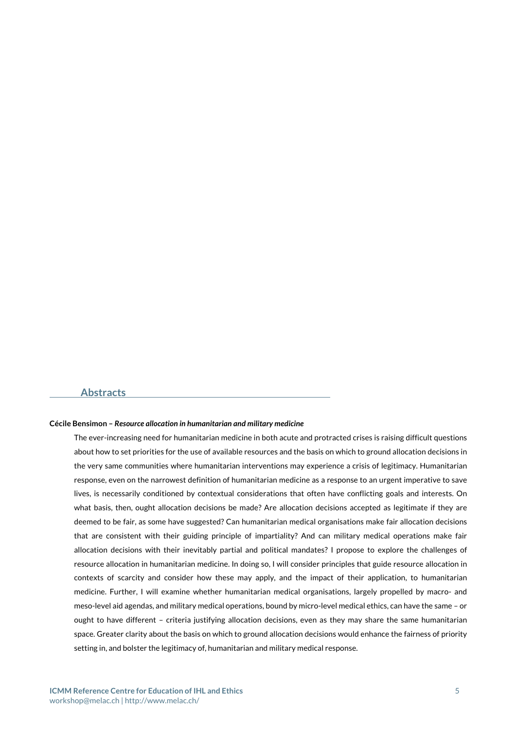#### **Abstracts**

#### **Cécile Bensimon –** *Resource allocation in humanitarian and military medicine*

The ever-increasing need for humanitarian medicine in both acute and protracted crises is raising difficult questions about how to set priorities for the use of available resources and the basis on which to ground allocation decisions in the very same communities where humanitarian interventions may experience a crisis of legitimacy. Humanitarian response, even on the narrowest definition of humanitarian medicine as a response to an urgent imperative to save lives, is necessarily conditioned by contextual considerations that often have conflicting goals and interests. On what basis, then, ought allocation decisions be made? Are allocation decisions accepted as legitimate if they are deemed to be fair, as some have suggested? Can humanitarian medical organisations make fair allocation decisions that are consistent with their guiding principle of impartiality? And can military medical operations make fair allocation decisions with their inevitably partial and political mandates? I propose to explore the challenges of resource allocation in humanitarian medicine. In doing so, I will consider principles that guide resource allocation in contexts of scarcity and consider how these may apply, and the impact of their application, to humanitarian medicine. Further, I will examine whether humanitarian medical organisations, largely propelled by macro- and meso-level aid agendas, and military medical operations, bound by micro-level medical ethics, can have the same – or ought to have different – criteria justifying allocation decisions, even as they may share the same humanitarian space. Greater clarity about the basis on which to ground allocation decisions would enhance the fairness of priority setting in, and bolster the legitimacy of, humanitarian and military medical response.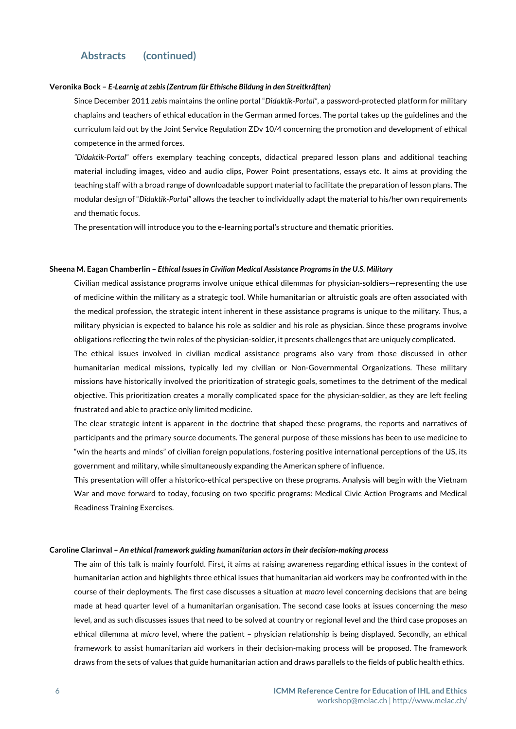#### **Veronika Bock –** *E-Learnig at zebis (Zentrum für Ethische Bildung in den Streitkräften)*

Since December 2011 *zebis* maintains the online portal "*Didaktik-Portal"*, a password-protected platform for military chaplains and teachers of ethical education in the German armed forces. The portal takes up the guidelines and the curriculum laid out by the Joint Service Regulation ZDv 10/4 concerning the promotion and development of ethical competence in the armed forces.

*"Didaktik-Portal*" offers exemplary teaching concepts, didactical prepared lesson plans and additional teaching material including images, video and audio clips, Power Point presentations, essays etc. It aims at providing the teaching staff with a broad range of downloadable support material to facilitate the preparation of lesson plans. The modular design of "*Didaktik-Portal*" allows the teacher to individually adapt the material to his/her own requirements and thematic focus.

The presentation will introduce you to the e-learning portal's structure and thematic priorities.

#### **Sheena M. Eagan Chamberlin –** *Ethical Issues in Civilian Medical Assistance Programs in the U.S. Military*

Civilian medical assistance programs involve unique ethical dilemmas for physician-soldiers—representing the use of medicine within the military as a strategic tool. While humanitarian or altruistic goals are often associated with the medical profession, the strategic intent inherent in these assistance programs is unique to the military. Thus, a military physician is expected to balance his role as soldier and his role as physician. Since these programs involve obligations reflecting the twin roles of the physician-soldier, it presents challenges that are uniquely complicated.

The ethical issues involved in civilian medical assistance programs also vary from those discussed in other humanitarian medical missions, typically led my civilian or Non-Governmental Organizations. These military missions have historically involved the prioritization of strategic goals, sometimes to the detriment of the medical objective. This prioritization creates a morally complicated space for the physician-soldier, as they are left feeling frustrated and able to practice only limited medicine.

The clear strategic intent is apparent in the doctrine that shaped these programs, the reports and narratives of participants and the primary source documents. The general purpose of these missions has been to use medicine to "win the hearts and minds" of civilian foreign populations, fostering positive international perceptions of the US, its government and military, while simultaneously expanding the American sphere of influence.

This presentation will offer a historico-ethical perspective on these programs. Analysis will begin with the Vietnam War and move forward to today, focusing on two specific programs: Medical Civic Action Programs and Medical Readiness Training Exercises.

#### **Caroline Clarinval –** *An ethical framework guiding humanitarian actors in their decision-making process*

The aim of this talk is mainly fourfold. First, it aims at raising awareness regarding ethical issues in the context of humanitarian action and highlights three ethical issues that humanitarian aid workers may be confronted with in the course of their deployments. The first case discusses a situation at *macro* level concerning decisions that are being made at head quarter level of a humanitarian organisation. The second case looks at issues concerning the *meso* level, and as such discusses issues that need to be solved at country or regional level and the third case proposes an ethical dilemma at *micro* level, where the patient – physician relationship is being displayed. Secondly, an ethical framework to assist humanitarian aid workers in their decision-making process will be proposed. The framework draws from the sets of values that guide humanitarian action and draws parallels to the fields of public health ethics.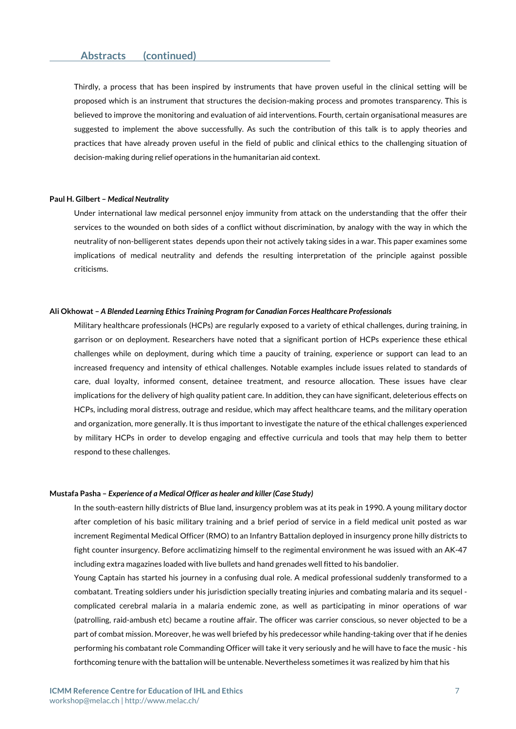Thirdly, a process that has been inspired by instruments that have proven useful in the clinical setting will be proposed which is an instrument that structures the decision-making process and promotes transparency. This is believed to improve the monitoring and evaluation of aid interventions. Fourth, certain organisational measures are suggested to implement the above successfully. As such the contribution of this talk is to apply theories and practices that have already proven useful in the field of public and clinical ethics to the challenging situation of decision-making during relief operations in the humanitarian aid context.

#### **Paul H. Gilbert –** *Medical Neutrality*

Under international law medical personnel enjoy immunity from attack on the understanding that the offer their services to the wounded on both sides of a conflict without discrimination, by analogy with the way in which the neutrality of non-belligerent states depends upon their not actively taking sides in a war. This paper examines some implications of medical neutrality and defends the resulting interpretation of the principle against possible criticisms.

#### **Ali Okhowat –** *A Blended Learning Ethics Training Program for Canadian Forces Healthcare Professionals*

Military healthcare professionals (HCPs) are regularly exposed to a variety of ethical challenges, during training, in garrison or on deployment. Researchers have noted that a significant portion of HCPs experience these ethical challenges while on deployment, during which time a paucity of training, experience or support can lead to an increased frequency and intensity of ethical challenges. Notable examples include issues related to standards of care, dual loyalty, informed consent, detainee treatment, and resource allocation. These issues have clear implications for the delivery of high quality patient care. In addition, they can have significant, deleterious effects on HCPs, including moral distress, outrage and residue, which may affect healthcare teams, and the military operation and organization, more generally. It is thus important to investigate the nature of the ethical challenges experienced by military HCPs in order to develop engaging and effective curricula and tools that may help them to better respond to these challenges.

#### **Mustafa Pasha –** *Experience of a Medical Officer as healer and killer (Case Study)*

In the south-eastern hilly districts of Blue land, insurgency problem was at its peak in 1990. A young military doctor after completion of his basic military training and a brief period of service in a field medical unit posted as war increment Regimental Medical Officer (RMO) to an Infantry Battalion deployed in insurgency prone hilly districts to fight counter insurgency. Before acclimatizing himself to the regimental environment he was issued with an AK-47 including extra magazines loaded with live bullets and hand grenades well fitted to his bandolier.

Young Captain has started his journey in a confusing dual role. A medical professional suddenly transformed to a combatant. Treating soldiers under his jurisdiction specially treating injuries and combating malaria and its sequel complicated cerebral malaria in a malaria endemic zone, as well as participating in minor operations of war (patrolling, raid-ambush etc) became a routine affair. The officer was carrier conscious, so never objected to be a part of combat mission. Moreover, he was well briefed by his predecessor while handing-taking over that if he denies performing his combatant role Commanding Officer will take it very seriously and he will have to face the music - his forthcoming tenure with the battalion will be untenable. Nevertheless sometimes it was realized by him that his